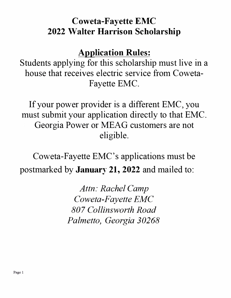# **Coweta-Fayette EMC 2022 Walter Harrison Scholarship**

## **Application Rules:**

Students applying for this scholarship must live in a house that receives electric service from Coweta-Fayette EMC.

If your power provider is a different EMC, you must submit your application directly to that EMC. Georgia Power or MEAG customers are not eligible.

Coweta-Fayette EMC's applications must be postmarked by **January 21, 2022** and mailed to:

> *Attn: Rachel Camp Coweta-Fayette EMC 807 Collinsworth Road Palmetto, Georgia 30268*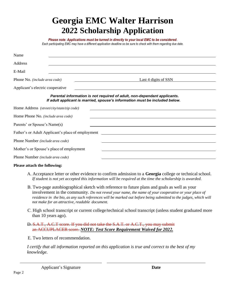# **Georgia EMC Walter Harrison 20***2***2 Scholarship Application**

*Please note: Applications must be turned in directly to your local EMC to be considered. Each participating EMC may have a different application deadline so be sure to check with them regarding due date.* 

| Name                                                                                                                                                    |  |                                                                                    |  |
|---------------------------------------------------------------------------------------------------------------------------------------------------------|--|------------------------------------------------------------------------------------|--|
| Address                                                                                                                                                 |  |                                                                                    |  |
| E-Mail                                                                                                                                                  |  |                                                                                    |  |
| Phone No. (include area code)                                                                                                                           |  | Last 4 digits of SSN<br><u> Alexandria de la contrada de la contrada de la con</u> |  |
| Applicant's electric cooperative                                                                                                                        |  |                                                                                    |  |
| Parental information is not required of adult, non-dependant applicants.<br>If adult applicant is married, spouse's information must be included below. |  |                                                                                    |  |
| Home Address (street/city/state/zip code)                                                                                                               |  |                                                                                    |  |
| Home Phone No. (include area code)                                                                                                                      |  |                                                                                    |  |
| Parents' or Spouse's Name(s)                                                                                                                            |  |                                                                                    |  |
| Father's or Adult Applicant's place of employment <u>Father's controllered</u>                                                                          |  |                                                                                    |  |
| Phone Number (include area code)                                                                                                                        |  |                                                                                    |  |
| Mother's or Spouse's place of employment                                                                                                                |  |                                                                                    |  |
| Phone Number (include area code)                                                                                                                        |  |                                                                                    |  |

#### **Please attach the following:**

- A. Acceptance letter or other evidence to confirm admission to a **Georgia** college or technical school. *If student is not yet accepted this information will be required at the time the scholarship is awarded.*
- B. Two-page autobiographical sketch with reference to future plans and goals as well as your involvement in the community. *Do not reveal your name, the name of your cooperative or your place of residence in the bio, as any such references will be marked out before being submitted to the judges, which will not make for an attractive, readable document.*
- C. High school transcript or current college/technical school transcript (unless student graduated more than 10 years ago).
- D. S.A.T., A.C.T score. If you did not take the S.A.T. or A.C.T., you may submit an ACCUPLACER score. *NOTE: Test Score Requirement Waived for 2022.*
- E. Two letters of recommendation.

*I certify that all information reported on this application is true and correct to the best of my knowledge.*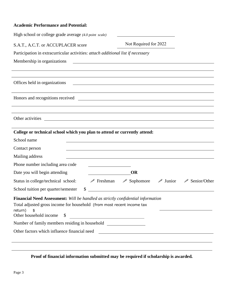| <b>Academic Performance and Potential:</b>                                                                                                                                                                 |                                                         |
|------------------------------------------------------------------------------------------------------------------------------------------------------------------------------------------------------------|---------------------------------------------------------|
| High school or college grade average (4.0 point scale)                                                                                                                                                     |                                                         |
| S.A.T., A.C.T. or ACCUPLACER score                                                                                                                                                                         | Not Required for 2022                                   |
| Participation in extracurricular activities: attach additional list if necessary                                                                                                                           |                                                         |
| Membership in organizations                                                                                                                                                                                |                                                         |
|                                                                                                                                                                                                            |                                                         |
| Offices held in organizations                                                                                                                                                                              |                                                         |
|                                                                                                                                                                                                            |                                                         |
| Other activities                                                                                                                                                                                           | <u> 1980 - Johann Barnett, fransk politik (d. 1980)</u> |
| College or technical school which you plan to attend or currently attend:                                                                                                                                  |                                                         |
| School name                                                                                                                                                                                                |                                                         |
| Contact person                                                                                                                                                                                             |                                                         |
| Mailing address                                                                                                                                                                                            |                                                         |
| Phone number including area code                                                                                                                                                                           |                                                         |
| Date you will begin attending                                                                                                                                                                              | <b>OR</b>                                               |
| $\mathscr{P}$ Freshman<br>Status in college/technical school:                                                                                                                                              | Sophomore<br>Junior<br>Senior/Other                     |
| \$<br>School tuition per quarter/semester                                                                                                                                                                  |                                                         |
| Financial Need Assessment: Will be handled as strictly confidential information<br>Total adjusted gross income for household (from most recent income tax<br>return)<br>\$<br>Other household income<br>\$ |                                                         |
| Number of family members residing in household __________________________________                                                                                                                          |                                                         |
|                                                                                                                                                                                                            |                                                         |
|                                                                                                                                                                                                            |                                                         |

### **Proof of financial information submitted may be required if scholarship is awarded.**